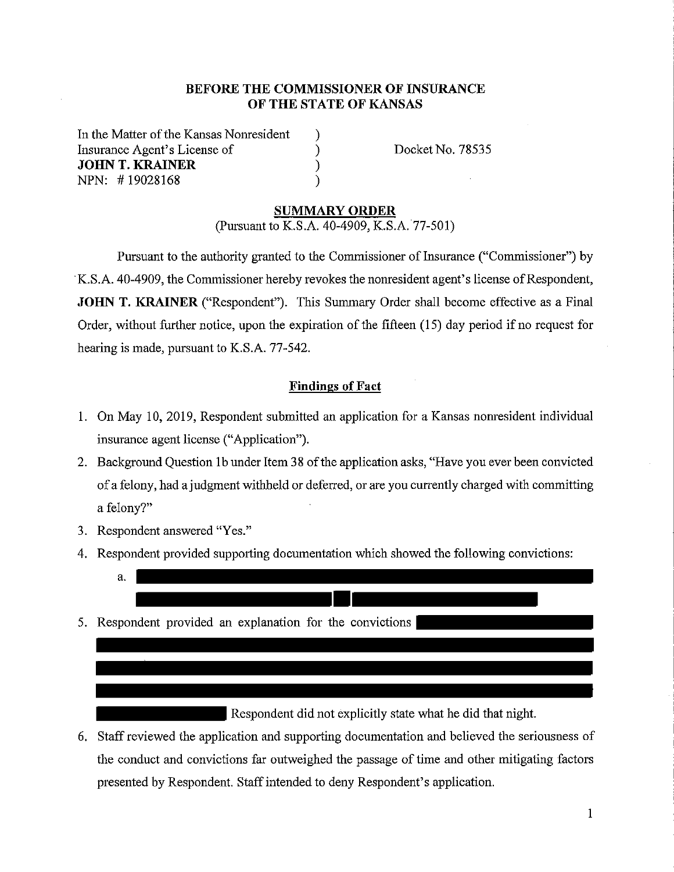### **BEFORE THE COMMISSIONER OF INSURANCE OF THE STATE OF KANSAS**

) ) ) )

In the Matter of the Kansas Nonresident Insurance Agent's License of **JOHN T. KRAINER**  NPN: # 19028168

Docket No. 78535

#### **SUMMARY ORDER**

(Pursuant to K.S.A. 40-4909, K.S.A. 77-501)

Pursuant to the authority granted to the Commissioner of Insurance ("Commissioner") by ·K.S.A. 40-4909, the Commissioner hereby revokes the nomesident agent's license of Respondent, **JOHN T. KRAINER** ("Respondent"). This Summary Order shall become effective as a Final Order, without further notice, upon the expiration of the fifteen (15) day period if no request for hearing is made, pursuant to K.S.A. 77-542.

#### **Findings of Fact**

- 1. On May 10, 2019, Respondent submitted an application for a Kansas nonresident individual insurance agent license ("Application").
- 2. Background Question 1b under Item 38 of the application asks, "Have you ever been convicted of a felony, had a judgment withheld or deferred, or are you currently charged with committing a felony?"
- 3. Respondent answered "Yes."
- 4. Respondent provided supporting documentation which showed the following convictions:
- a. \_\_\_\_\_\_\_\_\_\_\_\_\_\_\_ 5. Respondent provided an explanation for the convictions

Respondent did not explicitly state what he did that night.

6. Staff reviewed the application and supporting documentation and believed the seriousness of the conduct and convictions far outweighed the passage of time and other mitigating factors presented by Respondent. Staff intended to deny Respondent's application.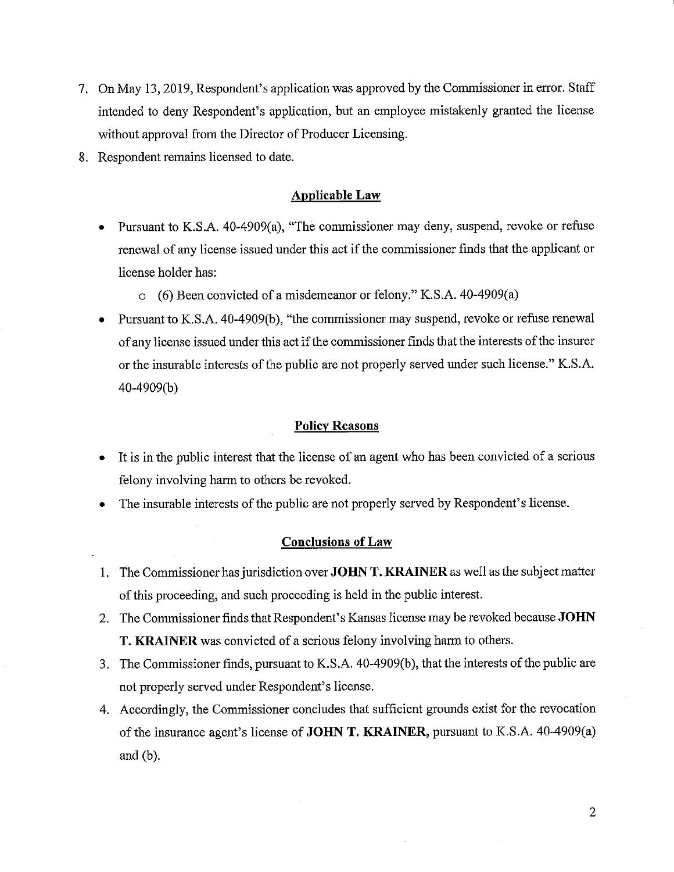- 7. On May 13, 2019, Respondent's application was approved by the Commissioner in error. Staff intended to deny Respondent's application, but an employee mistakenly granted the license without approval from the Director of Producer Licensing.
- 8. Respondent remains licensed to date.

#### **Applicable Law**

- Pursuant to K.S.A. 40-4909(a), "The commissioner may deny, suspend, revoke or refuse renewal of any license issued under this act if the commissioner finds that the applicant or license holder has:
	- o (6) Been convicted of a misdemeanor or felony." K.S.A. 40-4909(a)
- Pursuant to K.S.A. 40-4909(b), "the commissioner may suspend, revoke or refuse renewal of any license issued under this act if the commissioner finds that the interests of the insurer or the insurable interests of the public are not properly served under such license." K.S.A. 40-4909(b)

#### **Policy Reasons**

- It is in the public interest that the license of an agent who has been convicted of a serious felony involving harm to others be revoked.
- The insurable interests of the public are not properly served by Respondent's license.

#### **Conclusions of Law**

- 1. The Commissioner has jurisdiction over **JOHN T. KRAINER** as well as the subject matter of this proceeding, and such proceeding is held in the public interest.
- 2. The Commissioner finds that Respondent's Kansas license may be revoked because **JOHN T. KRAINER** was convicted of a serious felony involving harm to others.
- 3. The Commissioner finds, pursuant to K.S.A. 40-4909(b ), that the interests of the public are not properly served under Respondent's license.
- 4. Accordingly, the Commissioner concludes that sufficient grounds exist for the revocation of the insurance agent's license of **JOHN T. KRAINER,** pursuant to K.S.A. 40-4909(a) and (b).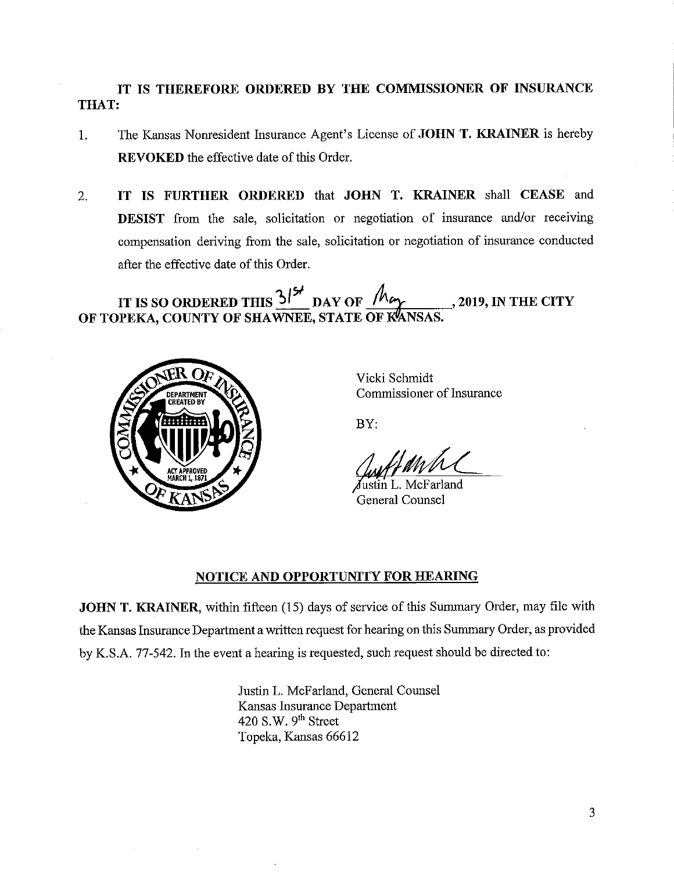# **IT IS THEREFORE ORDERED BY THE COMMISSIONER OF INSURANCE THAT:**

- 1. The Kansas Nonresident Insurance Agent's License of **JOHN T. KRAINER** is hereby **REVOKED** the effective date of this Order.
- 2. **IT IS FURTHER ORDERED** that **JOHN T. KRAINER** shall **CEASE** and **DESIST** from the sale, solicitation or negotiation of insurance and/or receiving compensation deriving from the sale, solicitation or negotiation of insurance conducted after the effective date of this Order.

IT IS SO ORDERED THIS  $3^{14}$  DAY OF  $M_{\gamma}$ , 2019, IN THE CITY OF TOPEKA, COUNTY OF SHAWNEE, STATE OF KANSAS



Vicki Schmidt Commissioner of Insurance

BY:

Justin L. McFarland General Counsel

## **NOTICE AND OPPORTUNITY FOR HEARING**

**JOHN T. KRAINER,** within fifteen (15) days of service of this Summary Order, may file with the Kansas Insurance Department a written request for hearing on this Summary Order, as provided by K.S.A. 77-542. In the event a hearing is requested, such request should be directed to:

> Justin L. McFarland, General Counsel Kansas Insurance Department 420 S.W.  $9<sup>th</sup>$  Street Topeka, Kansas 66612